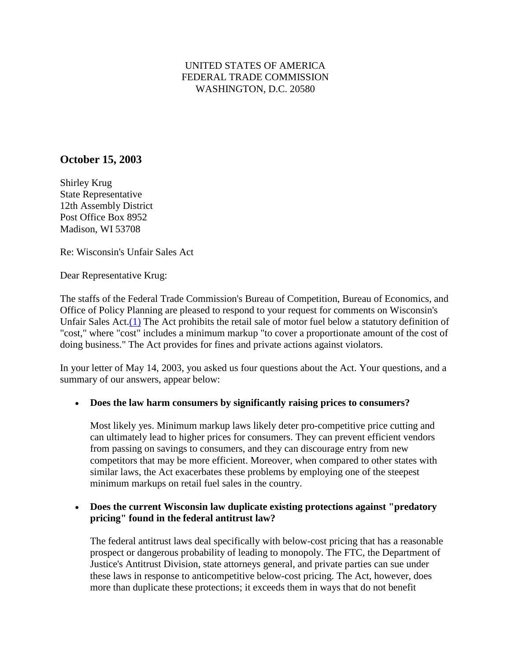### UNITED STATES OF AMERICA FEDERAL TRADE COMMISSION WASHINGTON, D.C. 20580

# **October 15, 2003**

Shirley Krug State Representative 12th Assembly District Post Office Box 8952 Madison, WI 53708

Re: Wisconsin's Unfair Sales Act

Dear Representative Krug:

The staffs of the Federal Trade Commission's Bureau of Competition, Bureau of Economics, and Office of Policy Planning are pleased to respond to your request for comments on Wisconsin's Unfair Sales Act[.\(1\)](http://old.ftc.gov/be/v030015.shtm#N_1_) The Act prohibits the retail sale of motor fuel below a statutory definition of "cost," where "cost" includes a minimum markup "to cover a proportionate amount of the cost of doing business." The Act provides for fines and private actions against violators.

In your letter of May 14, 2003, you asked us four questions about the Act. Your questions, and a summary of our answers, appear below:

### • **Does the law harm consumers by significantly raising prices to consumers?**

Most likely yes. Minimum markup laws likely deter pro-competitive price cutting and can ultimately lead to higher prices for consumers. They can prevent efficient vendors from passing on savings to consumers, and they can discourage entry from new competitors that may be more efficient. Moreover, when compared to other states with similar laws, the Act exacerbates these problems by employing one of the steepest minimum markups on retail fuel sales in the country.

#### • **Does the current Wisconsin law duplicate existing protections against "predatory pricing" found in the federal antitrust law?**

The federal antitrust laws deal specifically with below-cost pricing that has a reasonable prospect or dangerous probability of leading to monopoly. The FTC, the Department of Justice's Antitrust Division, state attorneys general, and private parties can sue under these laws in response to anticompetitive below-cost pricing. The Act, however, does more than duplicate these protections; it exceeds them in ways that do not benefit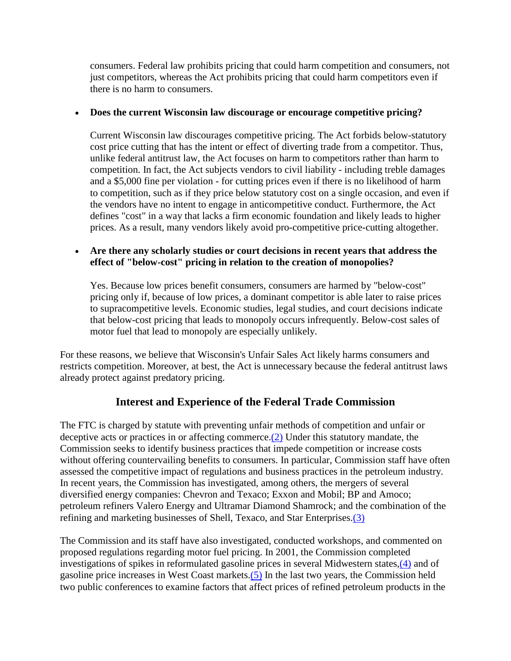consumers. Federal law prohibits pricing that could harm competition and consumers, not just competitors, whereas the Act prohibits pricing that could harm competitors even if there is no harm to consumers.

#### • **Does the current Wisconsin law discourage or encourage competitive pricing?**

Current Wisconsin law discourages competitive pricing. The Act forbids below-statutory cost price cutting that has the intent or effect of diverting trade from a competitor. Thus, unlike federal antitrust law, the Act focuses on harm to competitors rather than harm to competition. In fact, the Act subjects vendors to civil liability - including treble damages and a \$5,000 fine per violation - for cutting prices even if there is no likelihood of harm to competition, such as if they price below statutory cost on a single occasion, and even if the vendors have no intent to engage in anticompetitive conduct. Furthermore, the Act defines "cost" in a way that lacks a firm economic foundation and likely leads to higher prices. As a result, many vendors likely avoid pro-competitive price-cutting altogether.

#### • **Are there any scholarly studies or court decisions in recent years that address the effect of "below-cost" pricing in relation to the creation of monopolies?**

Yes. Because low prices benefit consumers, consumers are harmed by "below-cost" pricing only if, because of low prices, a dominant competitor is able later to raise prices to supracompetitive levels. Economic studies, legal studies, and court decisions indicate that below-cost pricing that leads to monopoly occurs infrequently. Below-cost sales of motor fuel that lead to monopoly are especially unlikely.

For these reasons, we believe that Wisconsin's Unfair Sales Act likely harms consumers and restricts competition. Moreover, at best, the Act is unnecessary because the federal antitrust laws already protect against predatory pricing.

### **Interest and Experience of the Federal Trade Commission**

The FTC is charged by statute with preventing unfair methods of competition and unfair or deceptive acts or practices in or affecting commerce[.\(2\)](http://old.ftc.gov/be/UNITED) Under this statutory mandate, the Commission seeks to identify business practices that impede competition or increase costs without offering countervailing benefits to consumers. In particular, Commission staff have often assessed the competitive impact of regulations and business practices in the petroleum industry. In recent years, the Commission has investigated, among others, the mergers of several diversified energy companies: Chevron and Texaco; Exxon and Mobil; BP and Amoco; petroleum refiners Valero Energy and Ultramar Diamond Shamrock; and the combination of the refining and marketing businesses of Shell, Texaco, and Star Enterprises[.\(3\)](http://old.ftc.gov/be/v030015.shtm#N_3_)

The Commission and its staff have also investigated, conducted workshops, and commented on proposed regulations regarding motor fuel pricing. In 2001, the Commission completed investigations of spikes in reformulated gasoline prices in several Midwestern states[,\(4\)](http://old.ftc.gov/be/v030015.shtm#N_4_) and of gasoline price increases in West Coast markets. $(5)$  In the last two years, the Commission held two public conferences to examine factors that affect prices of refined petroleum products in the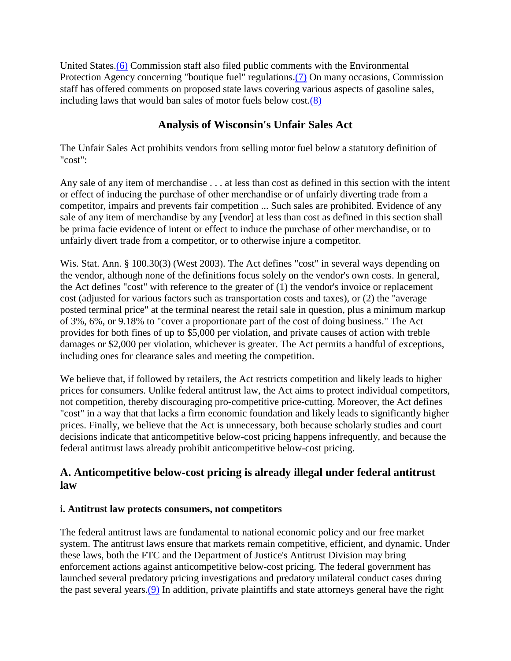United States[.\(6\)](http://old.ftc.gov/be/v030015.shtm#N_6_) Commission staff also filed public comments with the Environmental Protection Agency concerning "boutique fuel" regulations[.\(7\)](http://old.ftc.gov/be/v030015.shtm#N_7_) On many occasions, Commission staff has offered comments on proposed state laws covering various aspects of gasoline sales, including laws that would ban sales of motor fuels below cost[.\(8\)](http://old.ftc.gov/be/v030015.shtm#N_8_)

# **Analysis of Wisconsin's Unfair Sales Act**

The Unfair Sales Act prohibits vendors from selling motor fuel below a statutory definition of "cost":

Any sale of any item of merchandise . . . at less than cost as defined in this section with the intent or effect of inducing the purchase of other merchandise or of unfairly diverting trade from a competitor, impairs and prevents fair competition ... Such sales are prohibited. Evidence of any sale of any item of merchandise by any [vendor] at less than cost as defined in this section shall be prima facie evidence of intent or effect to induce the purchase of other merchandise, or to unfairly divert trade from a competitor, or to otherwise injure a competitor.

Wis. Stat. Ann. § 100.30(3) (West 2003). The Act defines "cost" in several ways depending on the vendor, although none of the definitions focus solely on the vendor's own costs. In general, the Act defines "cost" with reference to the greater of (1) the vendor's invoice or replacement cost (adjusted for various factors such as transportation costs and taxes), or (2) the "average posted terminal price" at the terminal nearest the retail sale in question, plus a minimum markup of 3%, 6%, or 9.18% to "cover a proportionate part of the cost of doing business." The Act provides for both fines of up to \$5,000 per violation, and private causes of action with treble damages or \$2,000 per violation, whichever is greater. The Act permits a handful of exceptions, including ones for clearance sales and meeting the competition.

We believe that, if followed by retailers, the Act restricts competition and likely leads to higher prices for consumers. Unlike federal antitrust law, the Act aims to protect individual competitors, not competition, thereby discouraging pro-competitive price-cutting. Moreover, the Act defines "cost" in a way that that lacks a firm economic foundation and likely leads to significantly higher prices. Finally, we believe that the Act is unnecessary, both because scholarly studies and court decisions indicate that anticompetitive below-cost pricing happens infrequently, and because the federal antitrust laws already prohibit anticompetitive below-cost pricing.

# **A. Anticompetitive below-cost pricing is already illegal under federal antitrust law**

### **i. Antitrust law protects consumers, not competitors**

The federal antitrust laws are fundamental to national economic policy and our free market system. The antitrust laws ensure that markets remain competitive, efficient, and dynamic. Under these laws, both the FTC and the Department of Justice's Antitrust Division may bring enforcement actions against anticompetitive below-cost pricing. The federal government has launched several predatory pricing investigations and predatory unilateral conduct cases during the past several years[.\(9\)](http://old.ftc.gov/be/UNITED) In addition, private plaintiffs and state attorneys general have the right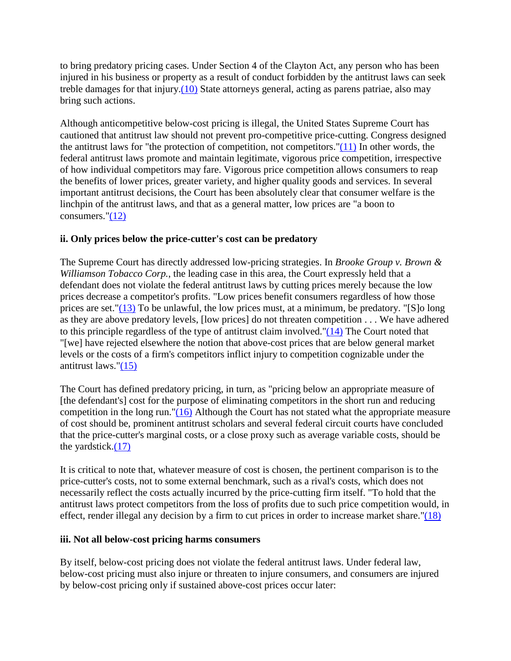to bring predatory pricing cases. Under Section 4 of the Clayton Act, any person who has been injured in his business or property as a result of conduct forbidden by the antitrust laws can seek treble damages for that injury[.\(10\)](http://old.ftc.gov/be/UNITED) State attorneys general, acting as parens patriae, also may bring such actions.

Although anticompetitive below-cost pricing is illegal, the United States Supreme Court has cautioned that antitrust law should not prevent pro-competitive price-cutting. Congress designed the antitrust laws for "the protection of competition, not competitors." $(11)$  In other words, the federal antitrust laws promote and maintain legitimate, vigorous price competition, irrespective of how individual competitors may fare. Vigorous price competition allows consumers to reap the benefits of lower prices, greater variety, and higher quality goods and services. In several important antitrust decisions, the Court has been absolutely clear that consumer welfare is the linchpin of the antitrust laws, and that as a general matter, low prices are "a boon to consumers." $(12)$ 

### **ii. Only prices below the price-cutter's cost can be predatory**

The Supreme Court has directly addressed low-pricing strategies. In *Brooke Group v. Brown & Williamson Tobacco Corp.*, the leading case in this area, the Court expressly held that a defendant does not violate the federal antitrust laws by cutting prices merely because the low prices decrease a competitor's profits. "Low prices benefit consumers regardless of how those prices are set." $(13)$  To be unlawful, the low prices must, at a minimum, be predatory. "[S]o long as they are above predatory levels, [low prices] do not threaten competition . . . We have adhered to this principle regardless of the type of antitrust claim involved." $(14)$  The Court noted that "[we] have rejected elsewhere the notion that above-cost prices that are below general market levels or the costs of a firm's competitors inflict injury to competition cognizable under the antitrust laws.["\(15\)](http://old.ftc.gov/be/v030015.shtm#N_15_)

The Court has defined predatory pricing, in turn, as "pricing below an appropriate measure of [the defendant's] cost for the purpose of eliminating competitors in the short run and reducing competition in the long run." $(16)$  Although the Court has not stated what the appropriate measure of cost should be, prominent antitrust scholars and several federal circuit courts have concluded that the price-cutter's marginal costs, or a close proxy such as average variable costs, should be the yardstick[.\(17\)](http://old.ftc.gov/be/v030015.shtm#N_17_)

It is critical to note that, whatever measure of cost is chosen, the pertinent comparison is to the price-cutter's costs, not to some external benchmark, such as a rival's costs, which does not necessarily reflect the costs actually incurred by the price-cutting firm itself. "To hold that the antitrust laws protect competitors from the loss of profits due to such price competition would, in effect, render illegal any decision by a firm to cut prices in order to increase market share.["\(18\)](http://old.ftc.gov/be/v030015.shtm#N_18_)

### **iii. Not all below-cost pricing harms consumers**

By itself, below-cost pricing does not violate the federal antitrust laws. Under federal law, below-cost pricing must also injure or threaten to injure consumers, and consumers are injured by below-cost pricing only if sustained above-cost prices occur later: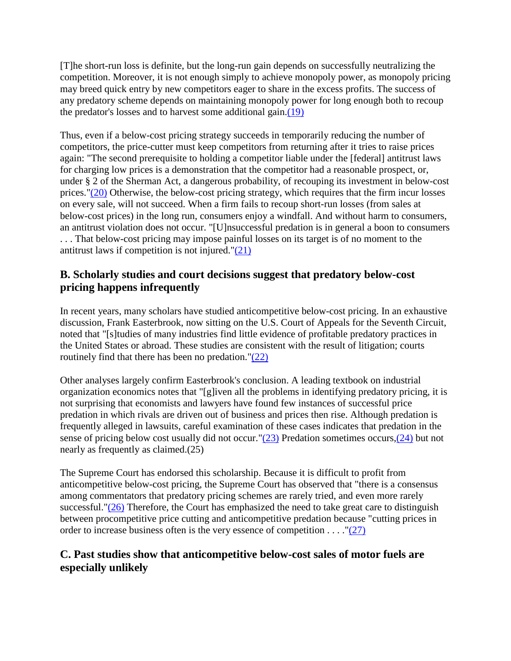[T]he short-run loss is definite, but the long-run gain depends on successfully neutralizing the competition. Moreover, it is not enough simply to achieve monopoly power, as monopoly pricing may breed quick entry by new competitors eager to share in the excess profits. The success of any predatory scheme depends on maintaining monopoly power for long enough both to recoup the predator's losses and to harvest some additional gain[.\(19\)](http://old.ftc.gov/be/v030015.shtm#N_19_)

Thus, even if a below-cost pricing strategy succeeds in temporarily reducing the number of competitors, the price-cutter must keep competitors from returning after it tries to raise prices again: "The second prerequisite to holding a competitor liable under the [federal] antitrust laws for charging low prices is a demonstration that the competitor had a reasonable prospect, or, under § 2 of the Sherman Act, a dangerous probability, of recouping its investment in below-cost prices.["\(20\)](http://old.ftc.gov/be/v030015.shtm#n_20_) Otherwise, the below-cost pricing strategy, which requires that the firm incur losses on every sale, will not succeed. When a firm fails to recoup short-run losses (from sales at below-cost prices) in the long run, consumers enjoy a windfall. And without harm to consumers, an antitrust violation does not occur. "[U]nsuccessful predation is in general a boon to consumers . . . That below-cost pricing may impose painful losses on its target is of no moment to the antitrust laws if competition is not injured.["\(21\)](http://old.ftc.gov/be/v030015.shtm#N_21_)

# **B. Scholarly studies and court decisions suggest that predatory below-cost pricing happens infrequently**

In recent years, many scholars have studied anticompetitive below-cost pricing. In an exhaustive discussion, Frank Easterbrook, now sitting on the U.S. Court of Appeals for the Seventh Circuit, noted that "[s]tudies of many industries find little evidence of profitable predatory practices in the United States or abroad. These studies are consistent with the result of litigation; courts routinely find that there has been no predation.["\(22\)](http://old.ftc.gov/be/v030015.shtm#N_22_)

Other analyses largely confirm Easterbrook's conclusion. A leading textbook on industrial organization economics notes that "[g]iven all the problems in identifying predatory pricing, it is not surprising that economists and lawyers have found few instances of successful price predation in which rivals are driven out of business and prices then rise. Although predation is frequently alleged in lawsuits, careful examination of these cases indicates that predation in the sense of pricing below cost usually did not occur.["\(23\)](http://old.ftc.gov/be/v030015.shtm#n_23_) Predation sometimes occurs[,\(24\)](http://old.ftc.gov/be/v030015.shtm#n_24_) but not nearly as frequently as claimed.(25)

The Supreme Court has endorsed this scholarship. Because it is difficult to profit from anticompetitive below-cost pricing, the Supreme Court has observed that "there is a consensus among commentators that predatory pricing schemes are rarely tried, and even more rarely successful.["\(26\)](http://old.ftc.gov/be/v030015.shtm#N_26_) Therefore, the Court has emphasized the need to take great care to distinguish between procompetitive price cutting and anticompetitive predation because "cutting prices in order to increase business often is the very essence of competition . . . . " $(27)$ 

# **C. Past studies show that anticompetitive below-cost sales of motor fuels are especially unlikely**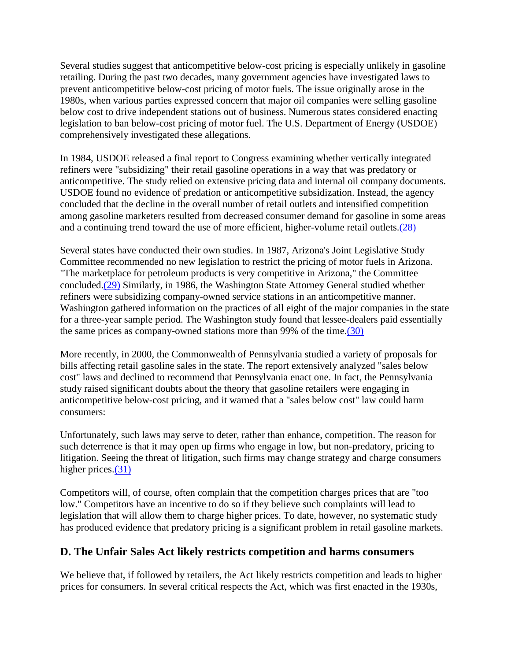Several studies suggest that anticompetitive below-cost pricing is especially unlikely in gasoline retailing. During the past two decades, many government agencies have investigated laws to prevent anticompetitive below-cost pricing of motor fuels. The issue originally arose in the 1980s, when various parties expressed concern that major oil companies were selling gasoline below cost to drive independent stations out of business. Numerous states considered enacting legislation to ban below-cost pricing of motor fuel. The U.S. Department of Energy (USDOE) comprehensively investigated these allegations.

In 1984, USDOE released a final report to Congress examining whether vertically integrated refiners were "subsidizing" their retail gasoline operations in a way that was predatory or anticompetitive. The study relied on extensive pricing data and internal oil company documents. USDOE found no evidence of predation or anticompetitive subsidization. Instead, the agency concluded that the decline in the overall number of retail outlets and intensified competition among gasoline marketers resulted from decreased consumer demand for gasoline in some areas and a continuing trend toward the use of more efficient, higher-volume retail outlets[.\(28\)](http://old.ftc.gov/be/v030015.shtm#N_28_)

Several states have conducted their own studies. In 1987, Arizona's Joint Legislative Study Committee recommended no new legislation to restrict the pricing of motor fuels in Arizona. "The marketplace for petroleum products is very competitive in Arizona," the Committee concluded[.\(29\)](http://old.ftc.gov/be/v030015.shtm#N_29_) Similarly, in 1986, the Washington State Attorney General studied whether refiners were subsidizing company-owned service stations in an anticompetitive manner. Washington gathered information on the practices of all eight of the major companies in the state for a three-year sample period. The Washington study found that lessee-dealers paid essentially the same prices as company-owned stations more than 99% of the time[.\(30\)](http://old.ftc.gov/be/v030015.shtm#N_30_)

More recently, in 2000, the Commonwealth of Pennsylvania studied a variety of proposals for bills affecting retail gasoline sales in the state. The report extensively analyzed "sales below cost" laws and declined to recommend that Pennsylvania enact one. In fact, the Pennsylvania study raised significant doubts about the theory that gasoline retailers were engaging in anticompetitive below-cost pricing, and it warned that a "sales below cost" law could harm consumers:

Unfortunately, such laws may serve to deter, rather than enhance, competition. The reason for such deterrence is that it may open up firms who engage in low, but non-predatory, pricing to litigation. Seeing the threat of litigation, such firms may change strategy and charge consumers higher prices.<sup>(31)</sup>

Competitors will, of course, often complain that the competition charges prices that are "too low." Competitors have an incentive to do so if they believe such complaints will lead to legislation that will allow them to charge higher prices. To date, however, no systematic study has produced evidence that predatory pricing is a significant problem in retail gasoline markets.

# **D. The Unfair Sales Act likely restricts competition and harms consumers**

We believe that, if followed by retailers, the Act likely restricts competition and leads to higher prices for consumers. In several critical respects the Act, which was first enacted in the 1930s,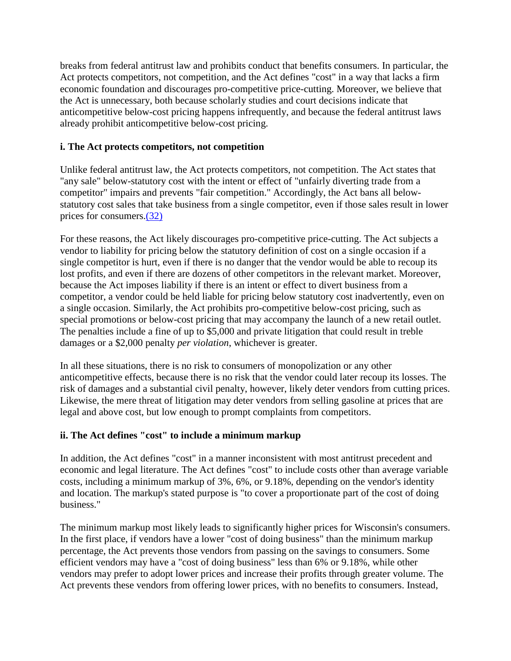breaks from federal antitrust law and prohibits conduct that benefits consumers. In particular, the Act protects competitors, not competition, and the Act defines "cost" in a way that lacks a firm economic foundation and discourages pro-competitive price-cutting. Moreover, we believe that the Act is unnecessary, both because scholarly studies and court decisions indicate that anticompetitive below-cost pricing happens infrequently, and because the federal antitrust laws already prohibit anticompetitive below-cost pricing.

#### **i. The Act protects competitors, not competition**

Unlike federal antitrust law, the Act protects competitors, not competition. The Act states that "any sale" below-statutory cost with the intent or effect of "unfairly diverting trade from a competitor" impairs and prevents "fair competition." Accordingly, the Act bans all belowstatutory cost sales that take business from a single competitor, even if those sales result in lower prices for consumers[.\(32\)](http://old.ftc.gov/be/v030015.shtm#n_32_)

For these reasons, the Act likely discourages pro-competitive price-cutting. The Act subjects a vendor to liability for pricing below the statutory definition of cost on a single occasion if a single competitor is hurt, even if there is no danger that the vendor would be able to recoup its lost profits, and even if there are dozens of other competitors in the relevant market. Moreover, because the Act imposes liability if there is an intent or effect to divert business from a competitor, a vendor could be held liable for pricing below statutory cost inadvertently, even on a single occasion. Similarly, the Act prohibits pro-competitive below-cost pricing, such as special promotions or below-cost pricing that may accompany the launch of a new retail outlet. The penalties include a fine of up to \$5,000 and private litigation that could result in treble damages or a \$2,000 penalty *per violation*, whichever is greater.

In all these situations, there is no risk to consumers of monopolization or any other anticompetitive effects, because there is no risk that the vendor could later recoup its losses. The risk of damages and a substantial civil penalty, however, likely deter vendors from cutting prices. Likewise, the mere threat of litigation may deter vendors from selling gasoline at prices that are legal and above cost, but low enough to prompt complaints from competitors.

#### **ii. The Act defines "cost" to include a minimum markup**

In addition, the Act defines "cost" in a manner inconsistent with most antitrust precedent and economic and legal literature. The Act defines "cost" to include costs other than average variable costs, including a minimum markup of 3%, 6%, or 9.18%, depending on the vendor's identity and location. The markup's stated purpose is "to cover a proportionate part of the cost of doing business."

The minimum markup most likely leads to significantly higher prices for Wisconsin's consumers. In the first place, if vendors have a lower "cost of doing business" than the minimum markup percentage, the Act prevents those vendors from passing on the savings to consumers. Some efficient vendors may have a "cost of doing business" less than 6% or 9.18%, while other vendors may prefer to adopt lower prices and increase their profits through greater volume. The Act prevents these vendors from offering lower prices, with no benefits to consumers. Instead,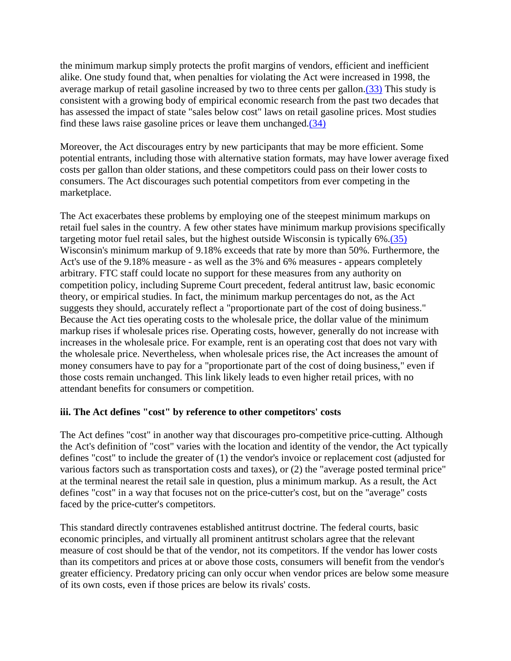the minimum markup simply protects the profit margins of vendors, efficient and inefficient alike. One study found that, when penalties for violating the Act were increased in 1998, the average markup of retail gasoline increased by two to three cents per gallon[.\(33\)](http://old.ftc.gov/be/v030015.shtm#n_33_) This study is consistent with a growing body of empirical economic research from the past two decades that has assessed the impact of state "sales below cost" laws on retail gasoline prices. Most studies find these laws raise gasoline prices or leave them unchanged[.\(34\)](http://old.ftc.gov/be/v030015.shtm#n_34_)

Moreover, the Act discourages entry by new participants that may be more efficient. Some potential entrants, including those with alternative station formats, may have lower average fixed costs per gallon than older stations, and these competitors could pass on their lower costs to consumers. The Act discourages such potential competitors from ever competing in the marketplace.

The Act exacerbates these problems by employing one of the steepest minimum markups on retail fuel sales in the country. A few other states have minimum markup provisions specifically targeting motor fuel retail sales, but the highest outside Wisconsin is typically 6%[.\(35\)](http://old.ftc.gov/be/v030015.shtm#n_35_) Wisconsin's minimum markup of 9.18% exceeds that rate by more than 50%. Furthermore, the Act's use of the 9.18% measure - as well as the 3% and 6% measures - appears completely arbitrary. FTC staff could locate no support for these measures from any authority on competition policy, including Supreme Court precedent, federal antitrust law, basic economic theory, or empirical studies. In fact, the minimum markup percentages do not, as the Act suggests they should, accurately reflect a "proportionate part of the cost of doing business." Because the Act ties operating costs to the wholesale price, the dollar value of the minimum markup rises if wholesale prices rise. Operating costs, however, generally do not increase with increases in the wholesale price. For example, rent is an operating cost that does not vary with the wholesale price. Nevertheless, when wholesale prices rise, the Act increases the amount of money consumers have to pay for a "proportionate part of the cost of doing business," even if those costs remain unchanged. This link likely leads to even higher retail prices, with no attendant benefits for consumers or competition.

### **iii. The Act defines "cost" by reference to other competitors' costs**

The Act defines "cost" in another way that discourages pro-competitive price-cutting. Although the Act's definition of "cost" varies with the location and identity of the vendor, the Act typically defines "cost" to include the greater of (1) the vendor's invoice or replacement cost (adjusted for various factors such as transportation costs and taxes), or (2) the "average posted terminal price" at the terminal nearest the retail sale in question, plus a minimum markup. As a result, the Act defines "cost" in a way that focuses not on the price-cutter's cost, but on the "average" costs faced by the price-cutter's competitors.

This standard directly contravenes established antitrust doctrine. The federal courts, basic economic principles, and virtually all prominent antitrust scholars agree that the relevant measure of cost should be that of the vendor, not its competitors. If the vendor has lower costs than its competitors and prices at or above those costs, consumers will benefit from the vendor's greater efficiency. Predatory pricing can only occur when vendor prices are below some measure of its own costs, even if those prices are below its rivals' costs.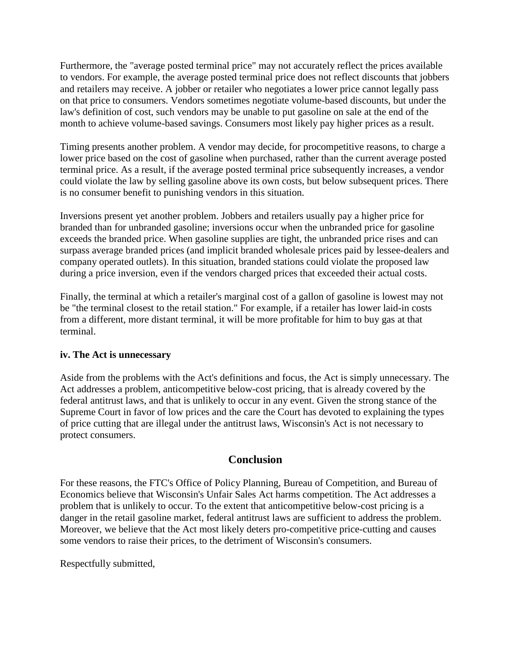Furthermore, the "average posted terminal price" may not accurately reflect the prices available to vendors. For example, the average posted terminal price does not reflect discounts that jobbers and retailers may receive. A jobber or retailer who negotiates a lower price cannot legally pass on that price to consumers. Vendors sometimes negotiate volume-based discounts, but under the law's definition of cost, such vendors may be unable to put gasoline on sale at the end of the month to achieve volume-based savings. Consumers most likely pay higher prices as a result.

Timing presents another problem. A vendor may decide, for procompetitive reasons, to charge a lower price based on the cost of gasoline when purchased, rather than the current average posted terminal price. As a result, if the average posted terminal price subsequently increases, a vendor could violate the law by selling gasoline above its own costs, but below subsequent prices. There is no consumer benefit to punishing vendors in this situation.

Inversions present yet another problem. Jobbers and retailers usually pay a higher price for branded than for unbranded gasoline; inversions occur when the unbranded price for gasoline exceeds the branded price. When gasoline supplies are tight, the unbranded price rises and can surpass average branded prices (and implicit branded wholesale prices paid by lessee-dealers and company operated outlets). In this situation, branded stations could violate the proposed law during a price inversion, even if the vendors charged prices that exceeded their actual costs.

Finally, the terminal at which a retailer's marginal cost of a gallon of gasoline is lowest may not be "the terminal closest to the retail station." For example, if a retailer has lower laid-in costs from a different, more distant terminal, it will be more profitable for him to buy gas at that terminal.

#### **iv. The Act is unnecessary**

Aside from the problems with the Act's definitions and focus, the Act is simply unnecessary. The Act addresses a problem, anticompetitive below-cost pricing, that is already covered by the federal antitrust laws, and that is unlikely to occur in any event. Given the strong stance of the Supreme Court in favor of low prices and the care the Court has devoted to explaining the types of price cutting that are illegal under the antitrust laws, Wisconsin's Act is not necessary to protect consumers.

### **Conclusion**

For these reasons, the FTC's Office of Policy Planning, Bureau of Competition, and Bureau of Economics believe that Wisconsin's Unfair Sales Act harms competition. The Act addresses a problem that is unlikely to occur. To the extent that anticompetitive below-cost pricing is a danger in the retail gasoline market, federal antitrust laws are sufficient to address the problem. Moreover, we believe that the Act most likely deters pro-competitive price-cutting and causes some vendors to raise their prices, to the detriment of Wisconsin's consumers.

Respectfully submitted,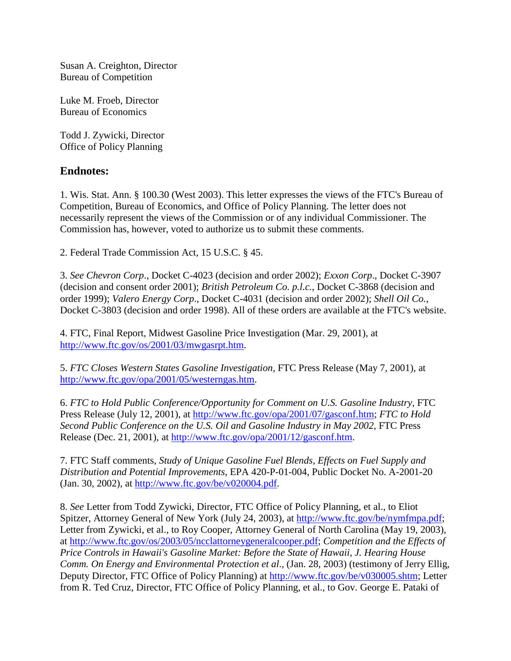Susan A. Creighton, Director Bureau of Competition

Luke M. Froeb, Director Bureau of Economics

Todd J. Zywicki, Director Office of Policy Planning

### **Endnotes:**

1. Wis. Stat. Ann. § 100.30 (West 2003). This letter expresses the views of the FTC's Bureau of Competition, Bureau of Economics, and Office of Policy Planning. The letter does not necessarily represent the views of the Commission or of any individual Commissioner. The Commission has, however, voted to authorize us to submit these comments.

2. Federal Trade Commission Act, 15 U.S.C. § 45.

3. *See Chevron Corp*., Docket C-4023 (decision and order 2002); *Exxon Corp*., Docket C-3907 (decision and consent order 2001); *British Petroleum Co. p.l.c.*, Docket C-3868 (decision and order 1999); *Valero Energy Corp*., Docket C-4031 (decision and order 2002); *Shell Oil Co.*, Docket C-3803 (decision and order 1998). All of these orders are available at the FTC's website.

4. FTC, Final Report, Midwest Gasoline Price Investigation (Mar. 29, 2001), at [http://www.ftc.gov/os/2001/03/mwgasrpt.htm.](http://old.ftc.gov/os/2001/03/mwgasrpt.shtm)

5. *FTC Closes Western States Gasoline Investigation*, FTC Press Release (May 7, 2001), at [http://www.ftc.gov/opa/2001/05/westerngas.htm.](http://old.ftc.gov/opa/2001/05/westerngas.htm)

6. *FTC to Hold Public Conference/Opportunity for Comment on U.S. Gasoline Industry*, FTC Press Release (July 12, 2001), at [http://www.ftc.gov/opa/2001/07/gasconf.htm;](http://old.ftc.gov/opa/2001/07/gasconf.htm) *FTC to Hold Second Public Conference on the U.S. Oil and Gasoline Industry in May 2002*, FTC Press Release (Dec. 21, 2001), at [http://www.ftc.gov/opa/2001/12/gasconf.htm.](http://old.ftc.gov/opa/2001/12/gasconf.htm)

7. FTC Staff comments, *Study of Unique Gasoline Fuel Blends, Effects on Fuel Supply and Distribution and Potential Improvements*, EPA 420-P-01-004, Public Docket No. A-2001-20 (Jan. 30, 2002), at [http://www.ftc.gov/be/v020004.pdf.](http://old.ftc.gov/be/v020004.pdf)

8. *See* Letter from Todd Zywicki, Director, FTC Office of Policy Planning, et al., to Eliot Spitzer, Attorney General of New York (July 24, 2003), at [http://www.ftc.gov/be/nymfmpa.pdf;](http://old.ftc.gov/be/nymfmpa.pdf) Letter from Zywicki, et al., to Roy Cooper, Attorney General of North Carolina (May 19, 2003), at [http://www.ftc.gov/os/2003/05/ncclattorneygeneralcooper.pdf;](http://old.ftc.gov/os/2003/05/ncclattorneygeneralcooper.pdf;) *Competition and the Effects of Price Controls in Hawaii's Gasoline Market: Before the State of Hawaii, J. Hearing House Comm. On Energy and Environmental Protection et al*., (Jan. 28, 2003) (testimony of Jerry Ellig, Deputy Director, FTC Office of Policy Planning) at [http://www.ftc.gov/be/v030005.shtm;](http://old.ftc.gov/be/v030005.shtm) Letter from R. Ted Cruz, Director, FTC Office of Policy Planning, et al., to Gov. George E. Pataki of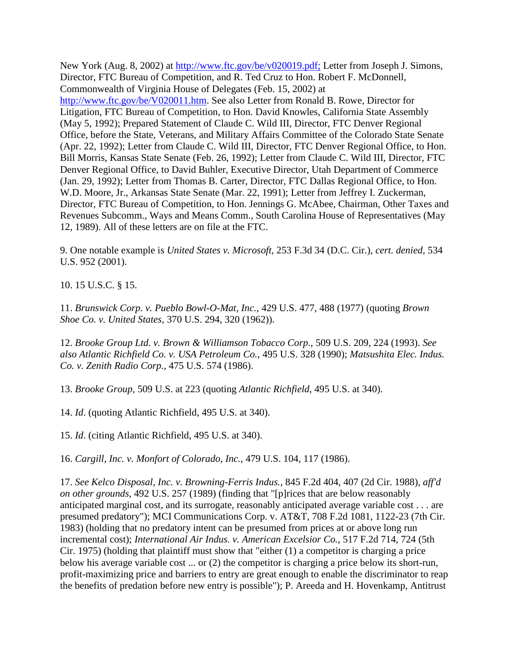New York (Aug. 8, 2002) at [http://www.ftc.gov/be/v020019.pdf;](http://old.ftc.gov/be/v020019.pdf.) Letter from Joseph J. Simons, Director, FTC Bureau of Competition, and R. Ted Cruz to Hon. Robert F. McDonnell, Commonwealth of Virginia House of Delegates (Feb. 15, 2002) at [http://www.ftc.gov/be/V020011.htm.](http://old.ftc.gov/be/V020011.htm) See also Letter from Ronald B. Rowe, Director for Litigation, FTC Bureau of Competition, to Hon. David Knowles, California State Assembly (May 5, 1992); Prepared Statement of Claude C. Wild III, Director, FTC Denver Regional Office, before the State, Veterans, and Military Affairs Committee of the Colorado State Senate (Apr. 22, 1992); Letter from Claude C. Wild III, Director, FTC Denver Regional Office, to Hon. Bill Morris, Kansas State Senate (Feb. 26, 1992); Letter from Claude C. Wild III, Director, FTC Denver Regional Office, to David Buhler, Executive Director, Utah Department of Commerce (Jan. 29, 1992); Letter from Thomas B. Carter, Director, FTC Dallas Regional Office, to Hon. W.D. Moore, Jr., Arkansas State Senate (Mar. 22, 1991); Letter from Jeffrey I. Zuckerman, Director, FTC Bureau of Competition, to Hon. Jennings G. McAbee, Chairman, Other Taxes and Revenues Subcomm., Ways and Means Comm., South Carolina House of Representatives (May 12, 1989). All of these letters are on file at the FTC.

9. One notable example is *United States v. Microsoft*, 253 F.3d 34 (D.C. Cir.), *cert. denied*, 534 U.S. 952 (2001).

10. 15 U.S.C. § 15.

11. *Brunswick Corp. v. Pueblo Bowl-O-Mat, Inc.*, 429 U.S. 477, 488 (1977) (quoting *Brown Shoe Co. v. United States*, 370 U.S. 294, 320 (1962)).

12. *Brooke Group Ltd. v. Brown & Williamson Tobacco Corp.*, 509 U.S. 209, 224 (1993). *See also Atlantic Richfield Co. v. USA Petroleum Co.*, 495 U.S. 328 (1990); *Matsushita Elec. Indus. Co. v. Zenith Radio Corp.*, 475 U.S. 574 (1986).

13. *Brooke Group*, 509 U.S. at 223 (quoting *Atlantic Richfield*, 495 U.S. at 340).

14. *Id*. (quoting Atlantic Richfield, 495 U.S. at 340).

15. *Id*. (citing Atlantic Richfield, 495 U.S. at 340).

16. *Cargill, Inc. v. Monfort of Colorado, Inc.*, 479 U.S. 104, 117 (1986).

17. *See Kelco Disposal, Inc. v. Browning-Ferris Indus.*, 845 F.2d 404, 407 (2d Cir. 1988), *aff'd on other grounds*, 492 U.S. 257 (1989) (finding that "[p]rices that are below reasonably anticipated marginal cost, and its surrogate, reasonably anticipated average variable cost . . . are presumed predatory"); MCI Communications Corp. v. AT&T, 708 F.2d 1081, 1122-23 (7th Cir. 1983) (holding that no predatory intent can be presumed from prices at or above long run incremental cost); *International Air Indus. v. American Excelsior Co.*, 517 F.2d 714, 724 (5th Cir. 1975) (holding that plaintiff must show that "either (1) a competitor is charging a price below his average variable cost ... or (2) the competitor is charging a price below its short-run, profit-maximizing price and barriers to entry are great enough to enable the discriminator to reap the benefits of predation before new entry is possible"); P. Areeda and H. Hovenkamp, Antitrust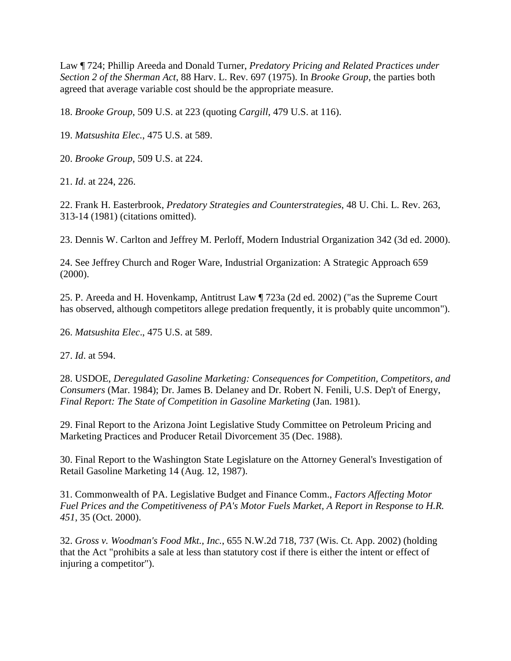Law ¶ 724; Phillip Areeda and Donald Turner, *Predatory Pricing and Related Practices under Section 2 of the Sherman Act*, 88 Harv. L. Rev. 697 (1975). In *Brooke Group*, the parties both agreed that average variable cost should be the appropriate measure.

18. *Brooke Group*, 509 U.S. at 223 (quoting *Cargill*, 479 U.S. at 116).

19. *Matsushita Elec.*, 475 U.S. at 589.

20. *Brooke Group*, 509 U.S. at 224.

21. *Id*. at 224, 226.

22. Frank H. Easterbrook, *Predatory Strategies and Counterstrategies*, 48 U. Chi. L. Rev. 263, 313-14 (1981) (citations omitted).

23. Dennis W. Carlton and Jeffrey M. Perloff, Modern Industrial Organization 342 (3d ed. 2000).

24. See Jeffrey Church and Roger Ware, Industrial Organization: A Strategic Approach 659 (2000).

25. P. Areeda and H. Hovenkamp, Antitrust Law ¶ 723a (2d ed. 2002) ("as the Supreme Court has observed, although competitors allege predation frequently, it is probably quite uncommon").

26. *Matsushita Elec*., 475 U.S. at 589.

27. *Id*. at 594.

28. USDOE, *Deregulated Gasoline Marketing: Consequences for Competition, Competitors, and Consumers* (Mar. 1984); Dr. James B. Delaney and Dr. Robert N. Fenili, U.S. Dep't of Energy, *Final Report: The State of Competition in Gasoline Marketing* (Jan. 1981).

29. Final Report to the Arizona Joint Legislative Study Committee on Petroleum Pricing and Marketing Practices and Producer Retail Divorcement 35 (Dec. 1988).

30. Final Report to the Washington State Legislature on the Attorney General's Investigation of Retail Gasoline Marketing 14 (Aug. 12, 1987).

31. Commonwealth of PA. Legislative Budget and Finance Comm., *Factors Affecting Motor Fuel Prices and the Competitiveness of PA's Motor Fuels Market, A Report in Response to H.R. 451*, 35 (Oct. 2000).

32. *Gross v. Woodman's Food Mkt., Inc.*, 655 N.W.2d 718, 737 (Wis. Ct. App. 2002) (holding that the Act "prohibits a sale at less than statutory cost if there is either the intent or effect of injuring a competitor").